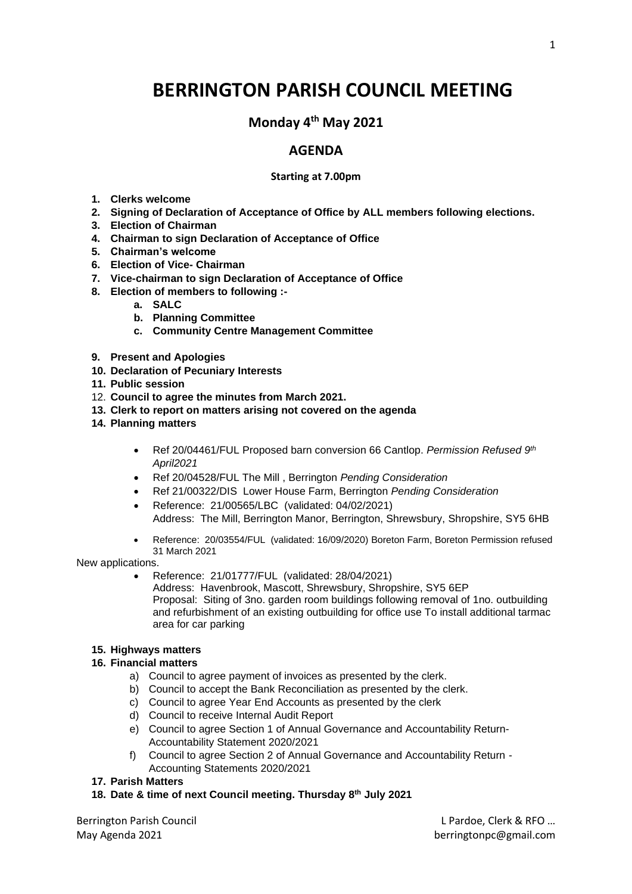# **BERRINGTON PARISH COUNCIL MEETING**

**Monday 4 th May 2021**

## **AGENDA**

#### **Starting at 7.00pm**

- **1. Clerks welcome**
- **2. Signing of Declaration of Acceptance of Office by ALL members following elections.**
- **3. Election of Chairman**
- **4. Chairman to sign Declaration of Acceptance of Office**
- **5. Chairman's welcome**
- **6. Election of Vice- Chairman**
- **7. Vice-chairman to sign Declaration of Acceptance of Office**
- **8. Election of members to following :**
	- **a. SALC**
	- **b. Planning Committee**
	- **c. Community Centre Management Committee**
- **9. Present and Apologies**
- **10. Declaration of Pecuniary Interests**
- **11. Public session**
- 12. **Council to agree the minutes from March 2021.**
- **13. Clerk to report on matters arising not covered on the agenda**
- **14. Planning matters**
	- Ref 20/04461/FUL Proposed barn conversion 66 Cantlop. *Permission Refused 9th April2021*
	- Ref 20/04528/FUL The Mill , Berrington *Pending Consideration*
	- Ref 21/00322/DIS Lower House Farm, Berrington *Pending Consideration*
	- Reference: 21/00565/LBC (validated: 04/02/2021) Address: The Mill, Berrington Manor, Berrington, Shrewsbury, Shropshire, SY5 6HB
	- Reference: 20/03554/FUL (validated: 16/09/2020) Boreton Farm, Boreton Permission refused 31 March 2021

New applications.

• Reference: 21/01777/FUL (validated: 28/04/2021) Address: Havenbrook, Mascott, Shrewsbury, Shropshire, SY5 6EP Proposal: Siting of 3no. garden room buildings following removal of 1no. outbuilding and refurbishment of an existing outbuilding for office use To install additional tarmac area for car parking

### **15. Highways matters**

#### **16. Financial matters**

- a) Council to agree payment of invoices as presented by the clerk.
- b) Council to accept the Bank Reconciliation as presented by the clerk.
- c) Council to agree Year End Accounts as presented by the clerk
- d) Council to receive Internal Audit Report
- e) Council to agree Section 1 of Annual Governance and Accountability Return-Accountability Statement 2020/2021
- f) Council to agree Section 2 of Annual Governance and Accountability Return Accounting Statements 2020/2021
- **17. Parish Matters**
- **18. Date & time of next Council meeting. Thursday 8th July 2021**

Berrington Parish Council L Pardoe, Clerk & RFO … May Agenda 2021 **berringtonpc@gmail.com**